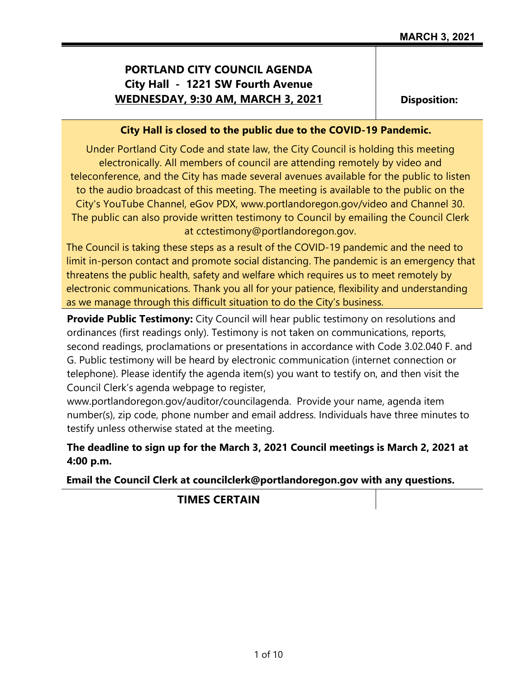# **PORTLAND CITY COUNCIL AGENDA City Hall - 1221 SW Fourth Avenue WEDNESDAY, 9:30 AM, MARCH 3, 2021**

**Disposition:**

### **City Hall is closed to the public due to the COVID-19 Pandemic.**

Under Portland City Code and state law, the City Council is holding this meeting electronically. All members of council are attending remotely by video and teleconference, and the City has made several avenues available for the public to listen to the audio broadcast of this meeting. The meeting is available to the public on the City's YouTube Channel, eGov PDX, www.portlandoregon.gov/video and Channel 30. The public can also provide written testimony to Council by emailing the Council Clerk at cctestimony@portlandoregon.gov.

The Council is taking these steps as a result of the COVID-19 pandemic and the need to limit in-person contact and promote social distancing. The pandemic is an emergency that threatens the public health, safety and welfare which requires us to meet remotely by electronic communications. Thank you all for your patience, flexibility and understanding as we manage through this difficult situation to do the City's business.

**Provide Public Testimony:** City Council will hear public testimony on resolutions and ordinances (first readings only). Testimony is not taken on communications, reports, second readings, proclamations or presentations in accordance with Code 3.02.040 F. and G. Public testimony will be heard by electronic communication (internet connection or telephone). Please identify the agenda item(s) you want to testify on, and then visit the Council Clerk's agenda webpage to register,

www.portlandoregon.gov/auditor/councilagenda. Provide your name, agenda item number(s), zip code, phone number and email address. Individuals have three minutes to testify unless otherwise stated at the meeting.

## **The deadline to sign up for the March 3, 2021 Council meetings is March 2, 2021 at 4:00 p.m.**

**Email the Council Clerk at councilclerk@portlandoregon.gov with any questions.**

**TIMES CERTAIN**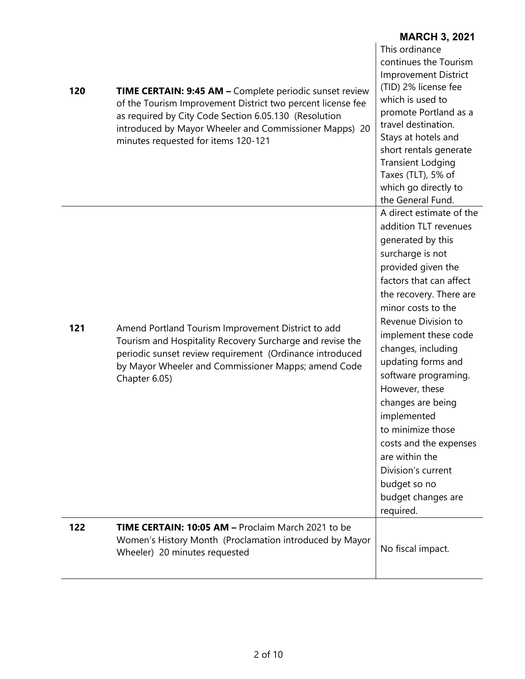| 120 | TIME CERTAIN: 9:45 AM - Complete periodic sunset review<br>of the Tourism Improvement District two percent license fee<br>as required by City Code Section 6.05.130 (Resolution<br>introduced by Mayor Wheeler and Commissioner Mapps) 20<br>minutes requested for items 120-121 | This ordinance<br>continues the Tourism<br><b>Improvement District</b><br>(TID) 2% license fee<br>which is used to<br>promote Portland as a<br>travel destination.<br>Stays at hotels and<br>short rentals generate<br><b>Transient Lodging</b><br>Taxes (TLT), 5% of<br>which go directly to<br>the General Fund.                                                                                                                                                                                              |
|-----|----------------------------------------------------------------------------------------------------------------------------------------------------------------------------------------------------------------------------------------------------------------------------------|-----------------------------------------------------------------------------------------------------------------------------------------------------------------------------------------------------------------------------------------------------------------------------------------------------------------------------------------------------------------------------------------------------------------------------------------------------------------------------------------------------------------|
| 121 | Amend Portland Tourism Improvement District to add<br>Tourism and Hospitality Recovery Surcharge and revise the<br>periodic sunset review requirement (Ordinance introduced<br>by Mayor Wheeler and Commissioner Mapps; amend Code<br>Chapter 6.05)                              | A direct estimate of the<br>addition TLT revenues<br>generated by this<br>surcharge is not<br>provided given the<br>factors that can affect<br>the recovery. There are<br>minor costs to the<br>Revenue Division to<br>implement these code<br>changes, including<br>updating forms and<br>software programing.<br>However, these<br>changes are being<br>implemented<br>to minimize those<br>costs and the expenses<br>are within the<br>Division's current<br>budget so no<br>budget changes are<br>required. |
| 122 | <b>TIME CERTAIN: 10:05 AM - Proclaim March 2021 to be</b><br>Women's History Month (Proclamation introduced by Mayor<br>Wheeler) 20 minutes requested                                                                                                                            | No fiscal impact.                                                                                                                                                                                                                                                                                                                                                                                                                                                                                               |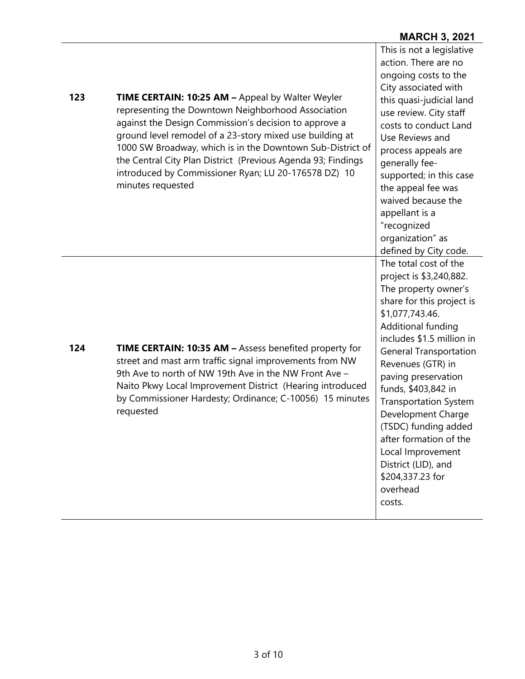| 123 | <b>TIME CERTAIN: 10:25 AM - Appeal by Walter Weyler</b><br>representing the Downtown Neighborhood Association<br>against the Design Commission's decision to approve a<br>ground level remodel of a 23-story mixed use building at<br>1000 SW Broadway, which is in the Downtown Sub-District of<br>the Central City Plan District (Previous Agenda 93; Findings<br>introduced by Commissioner Ryan; LU 20-176578 DZ) 10<br>minutes requested | This is not a legislative<br>action. There are no<br>ongoing costs to the<br>City associated with<br>this quasi-judicial land<br>use review. City staff<br>costs to conduct Land<br>Use Reviews and<br>process appeals are<br>qenerally fee-<br>supported; in this case<br>the appeal fee was<br>waived because the<br>appellant is a<br>"recognized<br>organization" as<br>defined by City code.                                                                             |
|-----|-----------------------------------------------------------------------------------------------------------------------------------------------------------------------------------------------------------------------------------------------------------------------------------------------------------------------------------------------------------------------------------------------------------------------------------------------|-------------------------------------------------------------------------------------------------------------------------------------------------------------------------------------------------------------------------------------------------------------------------------------------------------------------------------------------------------------------------------------------------------------------------------------------------------------------------------|
| 124 | <b>TIME CERTAIN: 10:35 AM - Assess benefited property for</b><br>street and mast arm traffic signal improvements from NW<br>9th Ave to north of NW 19th Ave in the NW Front Ave -<br>Naito Pkwy Local Improvement District (Hearing introduced<br>by Commissioner Hardesty; Ordinance; C-10056) 15 minutes<br>requested                                                                                                                       | The total cost of the<br>project is \$3,240,882.<br>The property owner's<br>share for this project is<br>\$1,077,743.46.<br>Additional funding<br>includes \$1.5 million in<br><b>General Transportation</b><br>Revenues (GTR) in<br>paving preservation<br>funds, \$403,842 in<br><b>Transportation System</b><br>Development Charge<br>(TSDC) funding added<br>after formation of the<br>Local Improvement<br>District (LID), and<br>\$204,337.23 for<br>overhead<br>costs. |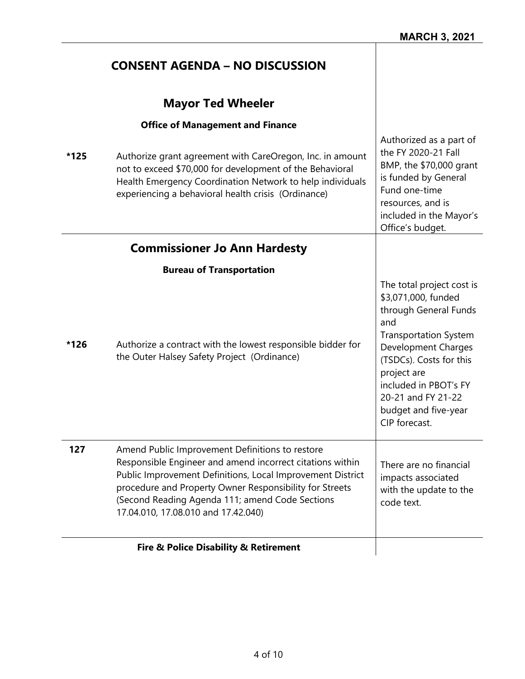H

|      | <b>CONSENT AGENDA – NO DISCUSSION</b>                                                                                                                                                                                                                                                                                           |                                                                                                                                                                                                                                                                           |
|------|---------------------------------------------------------------------------------------------------------------------------------------------------------------------------------------------------------------------------------------------------------------------------------------------------------------------------------|---------------------------------------------------------------------------------------------------------------------------------------------------------------------------------------------------------------------------------------------------------------------------|
|      | <b>Mayor Ted Wheeler</b>                                                                                                                                                                                                                                                                                                        |                                                                                                                                                                                                                                                                           |
| *125 | <b>Office of Management and Finance</b><br>Authorize grant agreement with CareOregon, Inc. in amount<br>not to exceed \$70,000 for development of the Behavioral<br>Health Emergency Coordination Network to help individuals<br>experiencing a behavioral health crisis (Ordinance)                                            | Authorized as a part of<br>the FY 2020-21 Fall<br>BMP, the \$70,000 grant<br>is funded by General<br>Fund one-time<br>resources, and is<br>included in the Mayor's<br>Office's budget.                                                                                    |
|      | <b>Commissioner Jo Ann Hardesty</b>                                                                                                                                                                                                                                                                                             |                                                                                                                                                                                                                                                                           |
|      | <b>Bureau of Transportation</b>                                                                                                                                                                                                                                                                                                 |                                                                                                                                                                                                                                                                           |
| *126 | Authorize a contract with the lowest responsible bidder for<br>the Outer Halsey Safety Project (Ordinance)                                                                                                                                                                                                                      | The total project cost is<br>\$3,071,000, funded<br>through General Funds<br>and<br><b>Transportation System</b><br>Development Charges<br>(TSDCs). Costs for this<br>project are<br>included in PBOT's FY<br>20-21 and FY 21-22<br>budget and five-year<br>CIP forecast. |
| 127  | Amend Public Improvement Definitions to restore<br>Responsible Engineer and amend incorrect citations within<br>Public Improvement Definitions, Local Improvement District<br>procedure and Property Owner Responsibility for Streets<br>(Second Reading Agenda 111; amend Code Sections<br>17.04.010, 17.08.010 and 17.42.040) | There are no financial<br>impacts associated<br>with the update to the<br>code text.                                                                                                                                                                                      |
|      | Fire & Police Disability & Retirement                                                                                                                                                                                                                                                                                           |                                                                                                                                                                                                                                                                           |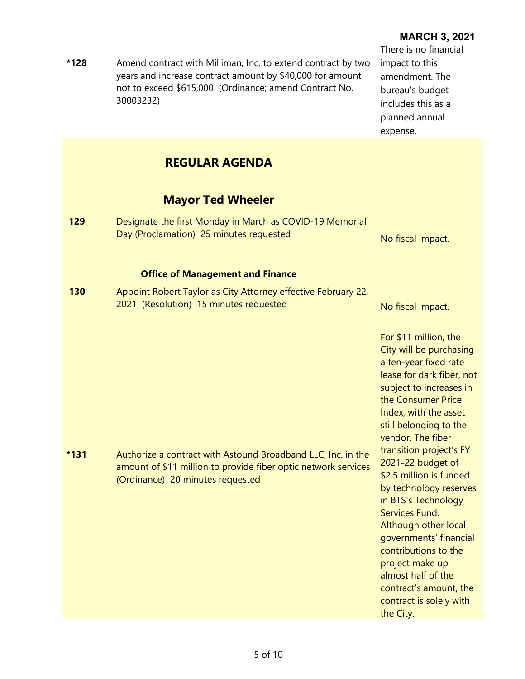| *128   | Amend contract with Milliman, Inc. to extend contract by two<br>years and increase contract amount by \$40,000 for amount<br>not to exceed \$615,000 (Ordinance; amend Contract No.<br>30003232) | <b>MARCH 3, 2021</b><br>There is no financial<br>impact to this<br>amendment. The<br>bureau's budget<br>includes this as a<br>planned annual<br>expense.                                                                                                                                                                                                                                                                                                                                                                                                           |
|--------|--------------------------------------------------------------------------------------------------------------------------------------------------------------------------------------------------|--------------------------------------------------------------------------------------------------------------------------------------------------------------------------------------------------------------------------------------------------------------------------------------------------------------------------------------------------------------------------------------------------------------------------------------------------------------------------------------------------------------------------------------------------------------------|
|        | <b>REGULAR AGENDA</b>                                                                                                                                                                            |                                                                                                                                                                                                                                                                                                                                                                                                                                                                                                                                                                    |
|        | <b>Mayor Ted Wheeler</b>                                                                                                                                                                         |                                                                                                                                                                                                                                                                                                                                                                                                                                                                                                                                                                    |
| 129    | Designate the first Monday in March as COVID-19 Memorial<br>Day (Proclamation) 25 minutes requested                                                                                              | No fiscal impact.                                                                                                                                                                                                                                                                                                                                                                                                                                                                                                                                                  |
|        | <b>Office of Management and Finance</b>                                                                                                                                                          |                                                                                                                                                                                                                                                                                                                                                                                                                                                                                                                                                                    |
| 130    | Appoint Robert Taylor as City Attorney effective February 22,<br>2021 (Resolution) 15 minutes requested                                                                                          | No fiscal impact.                                                                                                                                                                                                                                                                                                                                                                                                                                                                                                                                                  |
| $*131$ | Authorize a contract with Astound Broadband LLC, Inc. in the<br>amount of \$11 million to provide fiber optic network services<br>(Ordinance) 20 minutes requested                               | For \$11 million, the<br>City will be purchasing<br>a ten-year fixed rate<br>lease for dark fiber, not<br>subject to increases in<br>the Consumer Price<br>Index, with the asset<br>still belonging to the<br>vendor. The fiber<br>transition project's FY<br>2021-22 budget of<br>\$2.5 million is funded<br>by technology reserves<br>in BTS's Technology<br>Services Fund.<br>Although other local<br>governments' financial<br>contributions to the<br>project make up<br>almost half of the<br>contract's amount, the<br>contract is solely with<br>the City. |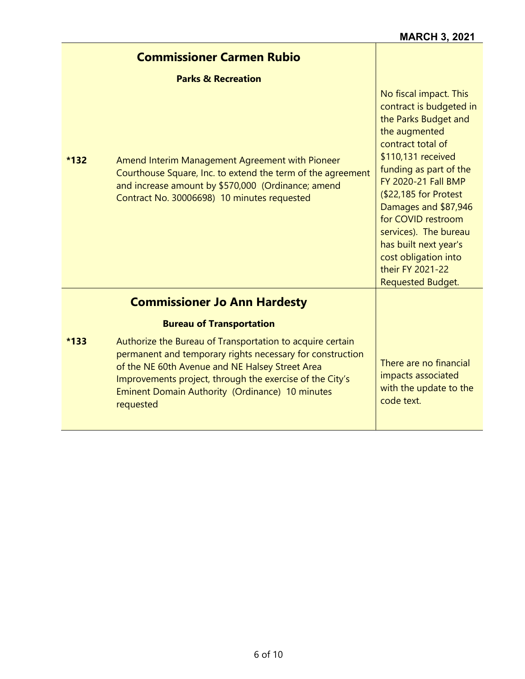|        | <b>Commissioner Carmen Rubio</b>                                                                                                                                                                                                                                                                      |                                                                                                                                                                                                                                                                                                                                                                                                |
|--------|-------------------------------------------------------------------------------------------------------------------------------------------------------------------------------------------------------------------------------------------------------------------------------------------------------|------------------------------------------------------------------------------------------------------------------------------------------------------------------------------------------------------------------------------------------------------------------------------------------------------------------------------------------------------------------------------------------------|
|        | <b>Parks &amp; Recreation</b>                                                                                                                                                                                                                                                                         |                                                                                                                                                                                                                                                                                                                                                                                                |
| $*132$ | Amend Interim Management Agreement with Pioneer<br>Courthouse Square, Inc. to extend the term of the agreement<br>and increase amount by \$570,000 (Ordinance; amend<br>Contract No. 30006698) 10 minutes requested                                                                                   | No fiscal impact. This<br>contract is budgeted in<br>the Parks Budget and<br>the augmented<br>contract total of<br>\$110,131 received<br>funding as part of the<br><b>FY 2020-21 Fall BMP</b><br>(\$22,185 for Protest<br>Damages and \$87,946<br>for COVID restroom<br>services). The bureau<br>has built next year's<br>cost obligation into<br>their FY 2021-22<br><b>Requested Budget.</b> |
|        | <b>Commissioner Jo Ann Hardesty</b>                                                                                                                                                                                                                                                                   |                                                                                                                                                                                                                                                                                                                                                                                                |
|        | <b>Bureau of Transportation</b>                                                                                                                                                                                                                                                                       |                                                                                                                                                                                                                                                                                                                                                                                                |
| $*133$ | Authorize the Bureau of Transportation to acquire certain<br>permanent and temporary rights necessary for construction<br>of the NE 60th Avenue and NE Halsey Street Area<br>Improvements project, through the exercise of the City's<br>Eminent Domain Authority (Ordinance) 10 minutes<br>requested | There are no financial<br>impacts associated<br>with the update to the<br>code text.                                                                                                                                                                                                                                                                                                           |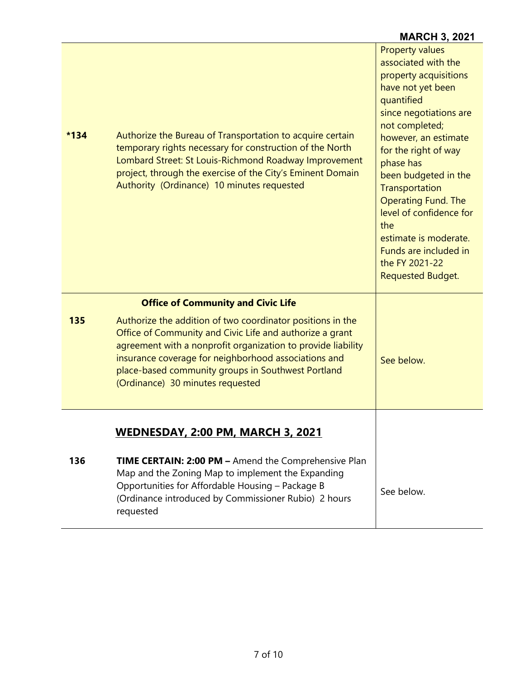| $*134$ | Authorize the Bureau of Transportation to acquire certain<br>temporary rights necessary for construction of the North<br>Lombard Street: St Louis-Richmond Roadway Improvement<br>project, through the exercise of the City's Eminent Domain<br>Authority (Ordinance) 10 minutes requested                                               | <b>Property values</b><br>associated with the<br>property acquisitions<br>have not yet been<br>quantified<br>since negotiations are<br>not completed;<br>however, an estimate<br>for the right of way<br>phase has<br>been budgeted in the<br>Transportation<br><b>Operating Fund. The</b><br>level of confidence for<br>the<br>estimate is moderate.<br>Funds are included in<br>the FY 2021-22<br><b>Requested Budget.</b> |
|--------|------------------------------------------------------------------------------------------------------------------------------------------------------------------------------------------------------------------------------------------------------------------------------------------------------------------------------------------|------------------------------------------------------------------------------------------------------------------------------------------------------------------------------------------------------------------------------------------------------------------------------------------------------------------------------------------------------------------------------------------------------------------------------|
|        | <b>Office of Community and Civic Life</b>                                                                                                                                                                                                                                                                                                |                                                                                                                                                                                                                                                                                                                                                                                                                              |
| 135    | Authorize the addition of two coordinator positions in the<br>Office of Community and Civic Life and authorize a grant<br>agreement with a nonprofit organization to provide liability<br>insurance coverage for neighborhood associations and<br>place-based community groups in Southwest Portland<br>(Ordinance) 30 minutes requested | See below.                                                                                                                                                                                                                                                                                                                                                                                                                   |
|        | <u>WEDNESDAY, 2:00 PM, MARCH 3, 2021</u>                                                                                                                                                                                                                                                                                                 |                                                                                                                                                                                                                                                                                                                                                                                                                              |
|        |                                                                                                                                                                                                                                                                                                                                          |                                                                                                                                                                                                                                                                                                                                                                                                                              |
| 136    | TIME CERTAIN: 2:00 PM - Amend the Comprehensive Plan<br>Map and the Zoning Map to implement the Expanding<br>Opportunities for Affordable Housing - Package B<br>(Ordinance introduced by Commissioner Rubio) 2 hours<br>requested                                                                                                       | See below.                                                                                                                                                                                                                                                                                                                                                                                                                   |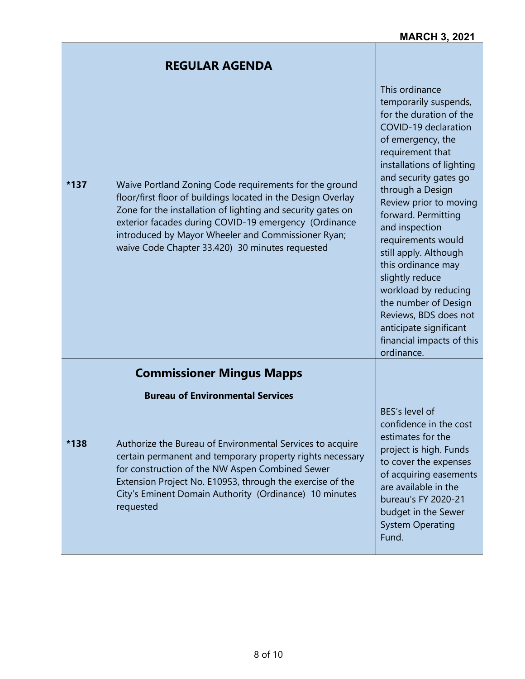This ordinance

temporarily suspends, for the duration of the

# **REGULAR AGENDA**

| $*137$ | Waive Portland Zoning Code requirements for the ground<br>floor/first floor of buildings located in the Design Overlay<br>Zone for the installation of lighting and security gates on<br>exterior facades during COVID-19 emergency (Ordinance<br>introduced by Mayor Wheeler and Commissioner Ryan;<br>waive Code Chapter 33.420) 30 minutes requested | ior the duration of the<br>COVID-19 declaration<br>of emergency, the<br>requirement that<br>installations of lighting<br>and security gates go<br>through a Design<br>Review prior to moving<br>forward. Permitting<br>and inspection<br>requirements would<br>still apply. Although<br>this ordinance may<br>slightly reduce<br>workload by reducing<br>the number of Design<br>Reviews, BDS does not<br>anticipate significant<br>financial impacts of this<br>ordinance. |
|--------|---------------------------------------------------------------------------------------------------------------------------------------------------------------------------------------------------------------------------------------------------------------------------------------------------------------------------------------------------------|-----------------------------------------------------------------------------------------------------------------------------------------------------------------------------------------------------------------------------------------------------------------------------------------------------------------------------------------------------------------------------------------------------------------------------------------------------------------------------|
|        | <b>Commissioner Mingus Mapps</b>                                                                                                                                                                                                                                                                                                                        |                                                                                                                                                                                                                                                                                                                                                                                                                                                                             |
|        | <b>Bureau of Environmental Services</b>                                                                                                                                                                                                                                                                                                                 |                                                                                                                                                                                                                                                                                                                                                                                                                                                                             |
| *138   | Authorize the Bureau of Environmental Services to acquire<br>certain permanent and temporary property rights necessary<br>for construction of the NW Aspen Combined Sewer<br>Extension Project No. E10953, through the exercise of the<br>City's Eminent Domain Authority (Ordinance) 10 minutes<br>requested                                           | BES's level of<br>confidence in the cost<br>estimates for the<br>project is high. Funds<br>to cover the expenses<br>of acquiring easements<br>are available in the<br>bureau's FY 2020-21<br>budget in the Sewer<br><b>System Operating</b><br>Fund.                                                                                                                                                                                                                        |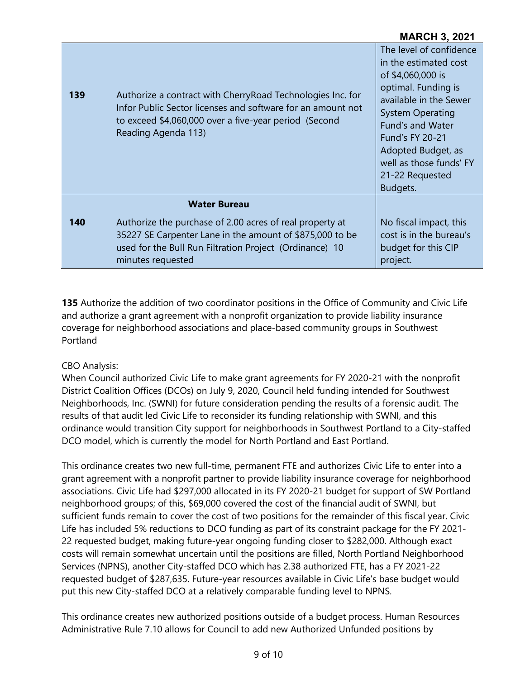| 139 | Authorize a contract with Cherry Road Technologies Inc. for<br>Infor Public Sector licenses and software for an amount not<br>to exceed \$4,060,000 over a five-year period (Second<br>Reading Agenda 113) | The level of confidence<br>in the estimated cost<br>of \$4,060,000 is<br>optimal. Funding is<br>available in the Sewer<br><b>System Operating</b><br><b>Fund's and Water</b><br><b>Fund's FY 20-21</b><br>Adopted Budget, as<br>well as those funds' FY<br>21-22 Requested<br>Budgets. |
|-----|------------------------------------------------------------------------------------------------------------------------------------------------------------------------------------------------------------|----------------------------------------------------------------------------------------------------------------------------------------------------------------------------------------------------------------------------------------------------------------------------------------|
|     | <b>Water Bureau</b>                                                                                                                                                                                        |                                                                                                                                                                                                                                                                                        |
| 140 | Authorize the purchase of 2.00 acres of real property at<br>35227 SE Carpenter Lane in the amount of \$875,000 to be<br>used for the Bull Run Filtration Project (Ordinance) 10<br>minutes requested       | No fiscal impact, this<br>cost is in the bureau's<br>budget for this CIP<br>project.                                                                                                                                                                                                   |

**135** Authorize the addition of two coordinator positions in the Office of Community and Civic Life and authorize a grant agreement with a nonprofit organization to provide liability insurance coverage for neighborhood associations and place-based community groups in Southwest Portland

#### CBO Analysis:

When Council authorized Civic Life to make grant agreements for FY 2020-21 with the nonprofit District Coalition Offices (DCOs) on July 9, 2020, Council held funding intended for Southwest Neighborhoods, Inc. (SWNI) for future consideration pending the results of a forensic audit. The results of that audit led Civic Life to reconsider its funding relationship with SWNI, and this ordinance would transition City support for neighborhoods in Southwest Portland to a City-staffed DCO model, which is currently the model for North Portland and East Portland.

This ordinance creates two new full-time, permanent FTE and authorizes Civic Life to enter into a grant agreement with a nonprofit partner to provide liability insurance coverage for neighborhood associations. Civic Life had \$297,000 allocated in its FY 2020-21 budget for support of SW Portland neighborhood groups; of this, \$69,000 covered the cost of the financial audit of SWNI, but sufficient funds remain to cover the cost of two positions for the remainder of this fiscal year. Civic Life has included 5% reductions to DCO funding as part of its constraint package for the FY 2021- 22 requested budget, making future-year ongoing funding closer to \$282,000. Although exact costs will remain somewhat uncertain until the positions are filled, North Portland Neighborhood Services (NPNS), another City-staffed DCO which has 2.38 authorized FTE, has a FY 2021-22 requested budget of \$287,635. Future-year resources available in Civic Life's base budget would put this new City-staffed DCO at a relatively comparable funding level to NPNS.

This ordinance creates new authorized positions outside of a budget process. Human Resources Administrative Rule 7.10 allows for Council to add new Authorized Unfunded positions by